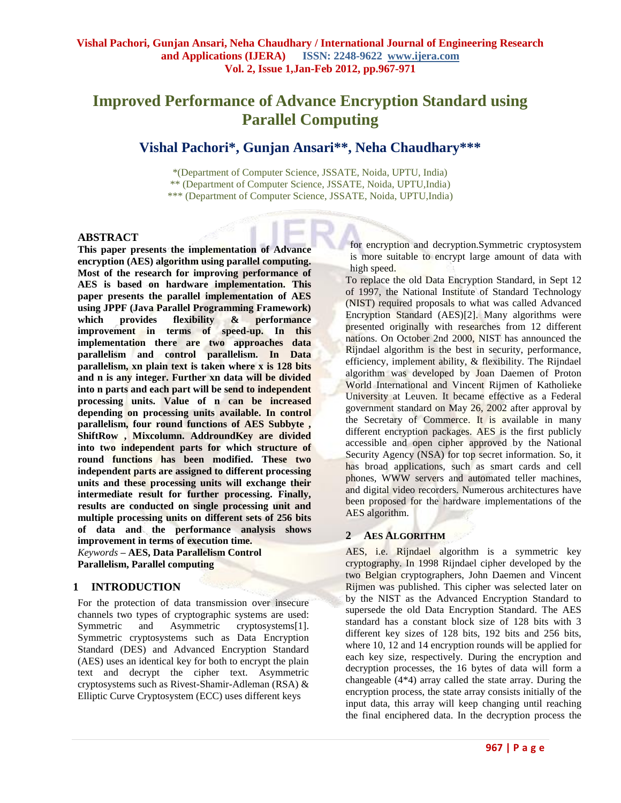# **Improved Performance of Advance Encryption Standard using Parallel Computing**

# **Vishal Pachori\*, Gunjan Ansari\*\*, Neha Chaudhary\*\*\***

\*(Department of Computer Science, JSSATE, Noida, UPTU, India) \*\* (Department of Computer Science, JSSATE, Noida, UPTU,India) \*\*\* (Department of Computer Science, JSSATE, Noida, UPTU,India)

#### **ABSTRACT**

**This paper presents the implementation of Advance encryption (AES) algorithm using parallel computing. Most of the research for improving performance of AES is based on hardware implementation. This paper presents the parallel implementation of AES using JPPF (Java Parallel Programming Framework) which provides flexibility & performance improvement in terms of speed-up. In this implementation there are two approaches data parallelism and control parallelism. In Data parallelism, xn plain text is taken where x is 128 bits and n is any integer. Further xn data will be divided into n parts and each part will be send to independent processing units. Value of n can be increased depending on processing units available. In control parallelism, four round functions of AES Subbyte , ShiftRow , Mixcolumn. AddroundKey are divided into two independent parts for which structure of round functions has been modified. These two independent parts are assigned to different processing units and these processing units will exchange their intermediate result for further processing. Finally, results are conducted on single processing unit and multiple processing units on different sets of 256 bits of data and the performance analysis shows improvement in terms of execution time.**

*Keywords* **– AES, Data Parallelism Control Parallelism, Parallel computing**

## **1 INTRODUCTION**

For the protection of data transmission over insecure channels two types of cryptographic systems are used: Symmetric and Asymmetric cryptosystems[1]. Symmetric cryptosystems such as Data Encryption Standard (DES) and Advanced Encryption Standard (AES) uses an identical key for both to encrypt the plain text and decrypt the cipher text. Asymmetric cryptosystems such as Rivest-Shamir-Adleman (RSA) & Elliptic Curve Cryptosystem (ECC) uses different keys

for encryption and decryption.Symmetric cryptosystem is more suitable to encrypt large amount of data with high speed.

To replace the old Data Encryption Standard, in Sept 12 of 1997, the National Institute of Standard Technology (NIST) required proposals to what was called Advanced Encryption Standard (AES)[2]. Many algorithms were presented originally with researches from 12 different nations. On October 2nd 2000, NIST has announced the Rijndael algorithm is the best in security, performance, efficiency, implement ability, & flexibility. The Rijndael algorithm was developed by Joan Daemen of Proton World International and Vincent Rijmen of Katholieke University at Leuven. It became effective as a Federal government standard on May 26, 2002 after approval by the Secretary of Commerce. It is available in many different encryption packages. AES is the first publicly accessible and open cipher approved by the National Security Agency (NSA) for top secret information. So, it has broad applications, such as smart cards and cell phones, WWW servers and automated teller machines, and digital video recorders. Numerous architectures have been proposed for the hardware implementations of the AES algorithm.

# **2 AES ALGORITHM**

AES, i.e. Rijndael algorithm is a symmetric key cryptography. In 1998 Rijndael cipher developed by the two Belgian cryptographers, John Daemen and Vincent Rijmen was published. This cipher was selected later on by the NIST as the Advanced Encryption Standard to supersede the old Data Encryption Standard. The AES standard has a constant block size of 128 bits with 3 different key sizes of 128 bits, 192 bits and 256 bits, where 10, 12 and 14 encryption rounds will be applied for each key size, respectively. During the encryption and decryption processes, the 16 bytes of data will form a changeable (4\*4) array called the state array. During the encryption process, the state array consists initially of the input data, this array will keep changing until reaching the final enciphered data. In the decryption process the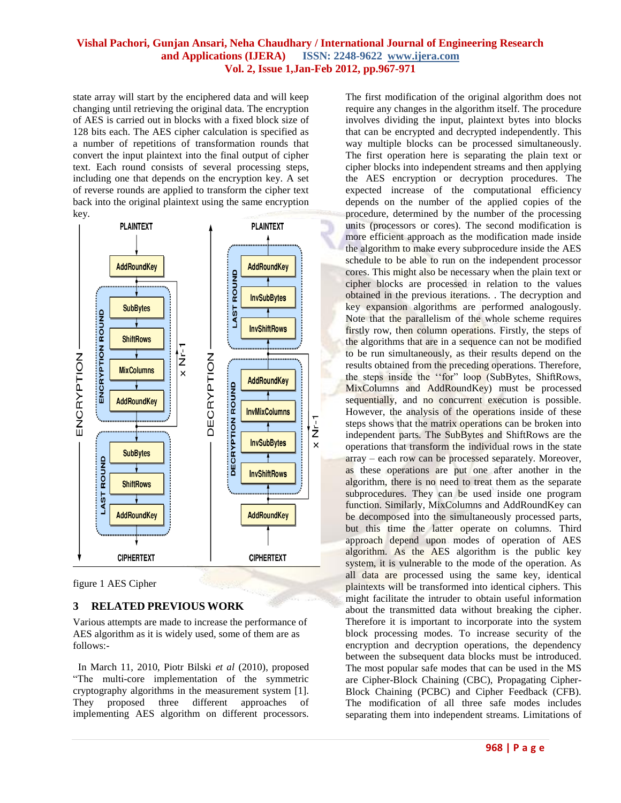state array will start by the enciphered data and will keep changing until retrieving the original data. The encryption of AES is carried out in blocks with a fixed block size of 128 bits each. The AES cipher calculation is specified as a number of repetitions of transformation rounds that convert the input plaintext into the final output of cipher text. Each round consists of several processing steps, including one that depends on the encryption key. A set of reverse rounds are applied to transform the cipher text back into the original plaintext using the same encryption key.



figure 1 AES Cipher

#### **3 RELATED PREVIOUS WORK**

Various attempts are made to increase the performance of AES algorithm as it is widely used, some of them are as follows:-

 In March 11, 2010, Piotr Bilski *et al* (2010), proposed "The multi-core implementation of the symmetric cryptography algorithms in the measurement system [1]. They proposed three different approaches of implementing AES algorithm on different processors.

The first modification of the original algorithm does not require any changes in the algorithm itself. The procedure involves dividing the input, plaintext bytes into blocks that can be encrypted and decrypted independently. This way multiple blocks can be processed simultaneously. The first operation here is separating the plain text or cipher blocks into independent streams and then applying the AES encryption or decryption procedures. The expected increase of the computational efficiency depends on the number of the applied copies of the procedure, determined by the number of the processing units (processors or cores). The second modification is more efficient approach as the modification made inside the algorithm to make every subprocedure inside the AES schedule to be able to run on the independent processor cores. This might also be necessary when the plain text or cipher blocks are processed in relation to the values obtained in the previous iterations. . The decryption and key expansion algorithms are performed analogously. Note that the parallelism of the whole scheme requires firstly row, then column operations. Firstly, the steps of the algorithms that are in a sequence can not be modified to be run simultaneously, as their results depend on the results obtained from the preceding operations. Therefore, the steps inside the ""for" loop (SubBytes, ShiftRows, MixColumns and AddRoundKey) must be processed sequentially, and no concurrent execution is possible. However, the analysis of the operations inside of these steps shows that the matrix operations can be broken into independent parts. The SubBytes and ShiftRows are the operations that transform the individual rows in the state array – each row can be processed separately. Moreover, as these operations are put one after another in the algorithm, there is no need to treat them as the separate subprocedures. They can be used inside one program function. Similarly, MixColumns and AddRoundKey can be decomposed into the simultaneously processed parts, but this time the latter operate on columns. Third approach depend upon modes of operation of AES algorithm. As the AES algorithm is the public key system, it is vulnerable to the mode of the operation. As all data are processed using the same key, identical plaintexts will be transformed into identical ciphers. This might facilitate the intruder to obtain useful information about the transmitted data without breaking the cipher. Therefore it is important to incorporate into the system block processing modes. To increase security of the encryption and decryption operations, the dependency between the subsequent data blocks must be introduced. The most popular safe modes that can be used in the MS are Cipher-Block Chaining (CBC), Propagating Cipher-Block Chaining (PCBC) and Cipher Feedback (CFB). The modification of all three safe modes includes separating them into independent streams. Limitations of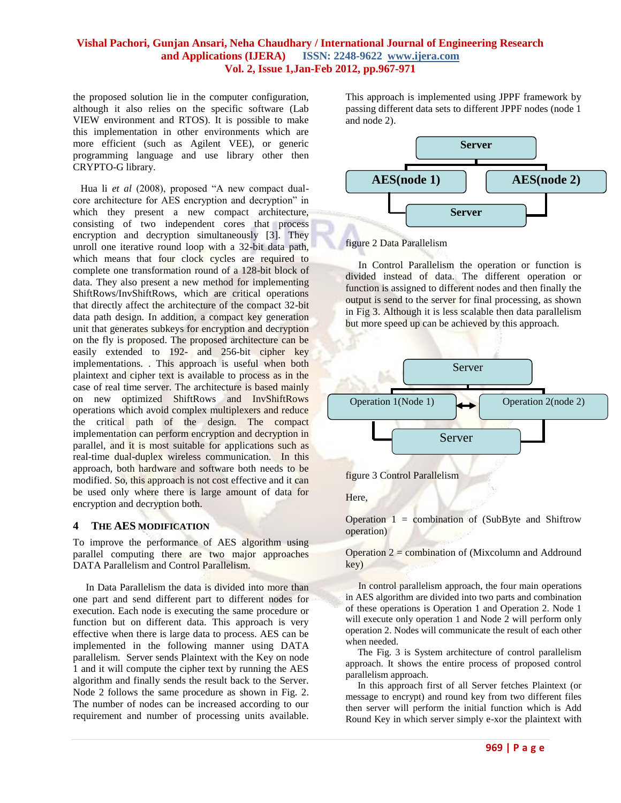the proposed solution lie in the computer configuration, although it also relies on the specific software (Lab VIEW environment and RTOS). It is possible to make this implementation in other environments which are more efficient (such as Agilent VEE), or generic programming language and use library other then CRYPTO-G library.

 Hua li *et al* (2008), proposed "A new compact dualcore architecture for AES encryption and decryption" in which they present a new compact architecture, consisting of two independent cores that process encryption and decryption simultaneously [3]. They unroll one iterative round loop with a 32-bit data path, which means that four clock cycles are required to complete one transformation round of a 128-bit block of data. They also present a new method for implementing ShiftRows/InvShiftRows, which are critical operations that directly affect the architecture of the compact 32-bit data path design. In addition, a compact key generation unit that generates subkeys for encryption and decryption on the fly is proposed. The proposed architecture can be easily extended to 192- and 256-bit cipher key implementations. . This approach is useful when both plaintext and cipher text is available to process as in the case of real time server. The architecture is based mainly on new optimized ShiftRows and InvShiftRows operations which avoid complex multiplexers and reduce the critical path of the design. The compact implementation can perform encryption and decryption in parallel, and it is most suitable for applications such as real-time dual-duplex wireless communication. In this approach, both hardware and software both needs to be modified. So, this approach is not cost effective and it can be used only where there is large amount of data for encryption and decryption both.

#### **4 THE AES MODIFICATION**

To improve the performance of AES algorithm using parallel computing there are two major approaches DATA Parallelism and Control Parallelism.

 In Data Parallelism the data is divided into more than one part and send different part to different nodes for execution. Each node is executing the same procedure or function but on different data. This approach is very effective when there is large data to process. AES can be implemented in the following manner using DATA parallelism. Server sends Plaintext with the Key on node 1 and it will compute the cipher text by running the AES algorithm and finally sends the result back to the Server. Node 2 follows the same procedure as shown in Fig. 2. The number of nodes can be increased according to our requirement and number of processing units available.

This approach is implemented using JPPF framework by passing different data sets to different JPPF nodes (node 1 and node 2).



#### figure 2 Data Parallelism

 In Control Parallelism the operation or function is divided instead of data. The different operation or function is assigned to different nodes and then finally the output is send to the server for final processing, as shown in Fig 3. Although it is less scalable then data parallelism but more speed up can be achieved by this approach.



Here,

Operation  $1 =$  combination of (SubByte and Shiftrow operation)

Operation  $2 =$  combination of (Mixcolumn and Addround key)

 In control parallelism approach, the four main operations in AES algorithm are divided into two parts and combination of these operations is Operation 1 and Operation 2. Node 1 will execute only operation 1 and Node 2 will perform only operation 2. Nodes will communicate the result of each other when needed.

 The Fig. 3 is System architecture of control parallelism approach. It shows the entire process of proposed control parallelism approach.

 In this approach first of all Server fetches Plaintext (or message to encrypt) and round key from two different files then server will perform the initial function which is Add Round Key in which server simply e-xor the plaintext with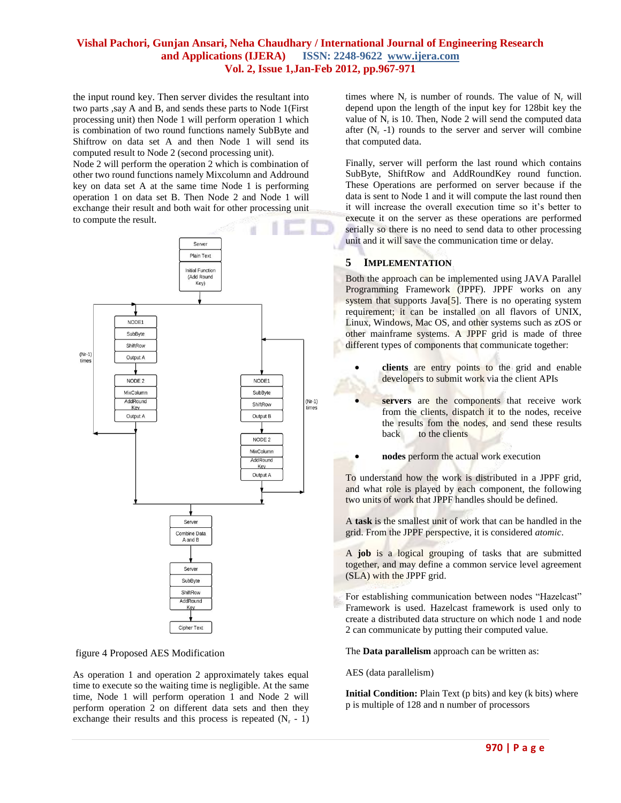the input round key. Then server divides the resultant into two parts ,say A and B, and sends these parts to Node 1(First processing unit) then Node 1 will perform operation 1 which is combination of two round functions namely SubByte and Shiftrow on data set A and then Node 1 will send its computed result to Node 2 (second processing unit).

Node 2 will perform the operation 2 which is combination of other two round functions namely Mixcolumn and Addround key on data set A at the same time Node 1 is performing operation 1 on data set B. Then Node 2 and Node 1 will exchange their result and both wait for other processing unit to compute the result.



#### figure 4 Proposed AES Modification

As operation 1 and operation 2 approximately takes equal time to execute so the waiting time is negligible. At the same time, Node 1 will perform operation 1 and Node 2 will perform operation 2 on different data sets and then they exchange their results and this process is repeated  $(N_r - 1)$ 

times where  $N_r$  is number of rounds. The value of  $N_r$  will depend upon the length of the input key for 128bit key the value of  $N_r$  is 10. Then, Node 2 will send the computed data after  $(N_r -1)$  rounds to the server and server will combine that computed data.

Finally, server will perform the last round which contains SubByte, ShiftRow and AddRoundKey round function. These Operations are performed on server because if the data is sent to Node 1 and it will compute the last round then it will increase the overall execution time so it's better to execute it on the server as these operations are performed serially so there is no need to send data to other processing unit and it will save the communication time or delay.

# **5 IMPLEMENTATION**

Both the approach can be implemented using JAVA Parallel Programming Framework (JPPF). JPPF works on any system that supports Java[5]. There is no operating system requirement; it can be installed on all flavors of UNIX, Linux, Windows, Mac OS, and other systems such as zOS or other mainframe systems. A JPPF grid is made of three different types of components that communicate together:

- **clients** are entry points to the grid and enable developers to submit work via the client APIs
	- **servers** are the components that receive work from the clients, dispatch it to the nodes, receive the results fom the nodes, and send these results back to the clients
	- **nodes** perform the actual work execution

To understand how the work is distributed in a JPPF grid, and what role is played by each component, the following two units of work that JPPF handles should be defined.

A **task** is the smallest unit of work that can be handled in the grid. From the JPPF perspective, it is considered *atomic*.

A **job** is a logical grouping of tasks that are submitted together, and may define a common service level agreement (SLA) with the JPPF grid.

For establishing communication between nodes "Hazelcast" Framework is used. Hazelcast framework is used only to create a distributed data structure on which node 1 and node 2 can communicate by putting their computed value.

The **Data parallelism** approach can be written as:

AES (data parallelism)

**Initial Condition:** Plain Text (p bits) and key (k bits) where p is multiple of 128 and n number of processors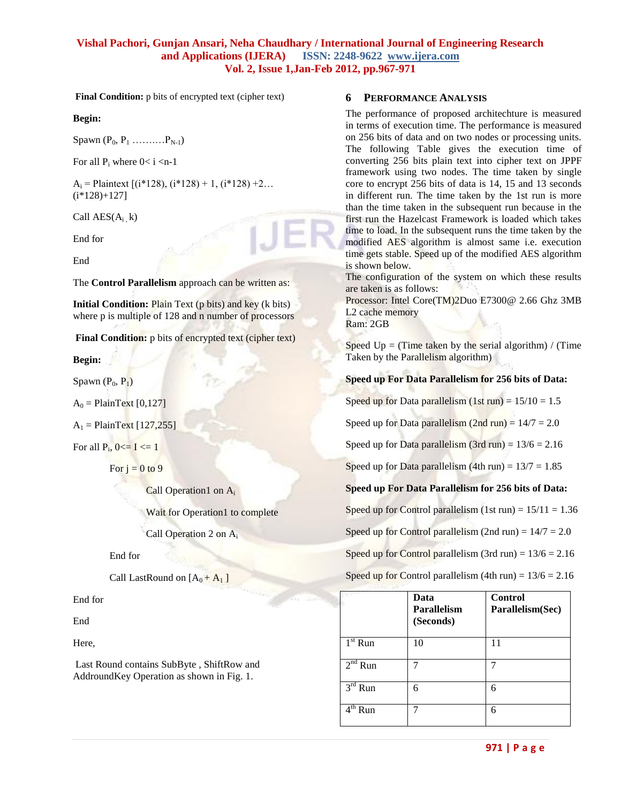Final Condition: p bits of encrypted text (cipher text)

**Begin:**

Spawn  $(P_0, P_1$  ……....... $P_{N-1}$ )

For all  $P_i$  where  $0 < i < n-1$ 

 $A_i$  = Plaintext  $[(i*128), (i*128) + 1, (i*128) + 2...$ (i\*128)+127]

Call  $AES(A_i, k)$ 

End for

End

The **Control Parallelism** approach can be written as:

**Initial Condition:** Plain Text (p bits) and key (k bits) where p is multiple of 128 and n number of processors

**Final Condition: p** bits of encrypted text (cipher text)

**Begin:**

Spawn  $(P_0, P_1)$ 

 $A_0 =$  PlainText [0,127]

 $A_1 =$  PlainText [127,255]

For all  $P_i$ ,  $0 \le I \le 1$ 

For  $j = 0$  to 9

Call Operation1 on A<sub>i</sub>

Wait for Operation1 to complete

Call Operation 2 on A<sup>i</sup>

End for

Call LastRound on  $[A_0 + A_1]$ 

End for

End

Here,

Last Round contains SubByte , ShiftRow and AddroundKey Operation as shown in Fig. 1.

#### **6 PERFORMANCE ANALYSIS**

The performance of proposed architechture is measured in terms of execution time. The performance is measured on 256 bits of data and on two nodes or processing units. The following Table gives the execution time of converting 256 bits plain text into cipher text on JPPF framework using two nodes. The time taken by single core to encrypt 256 bits of data is 14, 15 and 13 seconds in different run. The time taken by the 1st run is more than the time taken in the subsequent run because in the first run the Hazelcast Framework is loaded which takes time to load. In the subsequent runs the time taken by the modified AES algorithm is almost same i.e. execution time gets stable. Speed up of the modified AES algorithm is shown below.

The configuration of the system on which these results are taken is as follows:

Processor: Intel Core(TM)2Duo E7300@ 2.66 Ghz 3MB L<sub>2</sub> cache memory

Ram: 2GB

Speed Up = (Time taken by the serial algorithm) / (Time Taken by the Parallelism algorithm)

## **Speed up For Data Parallelism for 256 bits of Data:**

Speed up for Data parallelism  $(1st run) = 15/10 = 1.5$ 

Speed up for Data parallelism  $(2nd run) = 14/7 = 2.0$ 

Speed up for Data parallelism  $(3rd \text{ run}) = 13/6 = 2.16$ 

Speed up for Data parallelism  $(4th run) = 13/7 = 1.85$ 

#### **Speed up For Data Parallelism for 256 bits of Data:**

Speed up for Control parallelism  $(1st run) = 15/11 = 1.36$ 

Speed up for Control parallelism  $(2nd run) = 14/7 = 2.0$ 

Speed up for Control parallelism  $(3rd run) = 13/6 = 2.16$ 

Speed up for Control parallelism  $(4th run) = 13/6 = 2.16$ 

|           | Data<br><b>Parallelism</b><br>(Seconds) | <b>Control</b><br>Parallelism(Sec) |
|-----------|-----------------------------------------|------------------------------------|
| $1st$ Run | 10                                      | 11                                 |
| $2nd$ Run |                                         |                                    |
| $3rd$ Run | 6                                       | 6                                  |
| $A$ th    |                                         | 6                                  |